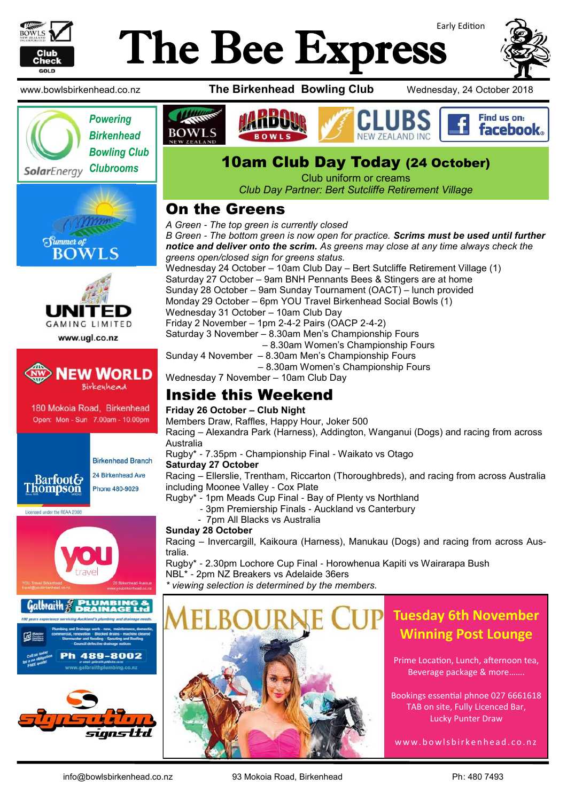

# Early Edition The Bee Express









www.ugl.co.nz



180 Mokoia Road, Birkenhead Open: Mon - Sun 7.00am - 10.00pm



**Birkenhead Branch** 24 Birkenhead Ave

Licensed under the REAA 2008







www.bowlsbirkenhead.co.nz **The Birkenhead Bowling Club** Wednesday, 24 October 2018



## *Clubrooms* 10am Club Day Today (24 October)

Club uniform or creams *Club Day Partner: Bert Sutcliffe Retirement Village* 

### On the Greens

*A Green - The top green is currently closed*

*B Green - The bottom green is now open for practice. Scrims must be used until further notice and deliver onto the scrim. As greens may close at any time always check the greens open/closed sign for greens status.* Wednesday 24 October – 10am Club Day – Bert Sutcliffe Retirement Village (1) Saturday 27 October – 9am BNH Pennants Bees & Stingers are at home Sunday 28 October – 9am Sunday Tournament (OACT) – lunch provided Monday 29 October – 6pm YOU Travel Birkenhead Social Bowls (1) Wednesday 31 October – 10am Club Day Friday 2 November – 1pm 2-4-2 Pairs (OACP 2-4-2) Saturday 3 November – 8.30am Men's Championship Fours – 8.30am Women's Championship Fours Sunday 4 November – 8.30am Men's Championship Fours – 8.30am Women's Championship Fours Wednesday 7 November – 10am Club Day

### Inside this Weekend

#### **Friday 26 October – Club Night**

Members Draw, Raffles, Happy Hour, Joker 500

Racing – Alexandra Park (Harness), Addington, Wanganui (Dogs) and racing from across Australia

Rugby\* - 7.35pm - Championship Final - Waikato vs Otago

#### **Saturday 27 October**

Racing – Ellerslie, Trentham, Riccarton (Thoroughbreds), and racing from across Australia including Moonee Valley - Cox Plate

- Rugby\* 1pm Meads Cup Final Bay of Plenty vs Northland
	- 3pm Premiership Finals Auckland vs Canterbury

- 7pm All Blacks vs Australia

#### **Sunday 28 October**

Racing – Invercargill, Kaikoura (Harness), Manukau (Dogs) and racing from across Australia.

Rugby\* - 2.30pm Lochore Cup Final - Horowhenua Kapiti vs Wairarapa Bush NBL\* - 2pm NZ Breakers vs Adelaide 36ers

*\* viewing selection is determined by the members.*



### **Tuesday 6th November Winning Post Lounge**

Prime Location, Lunch, afternoon tea, Beverage package & more…….

Bookings essential phnoe 027 6661618 TAB on site, Fully Licenced Bar, Lucky Punter Draw

w w w . b o w l s b i r k e n h e a d . c o . n z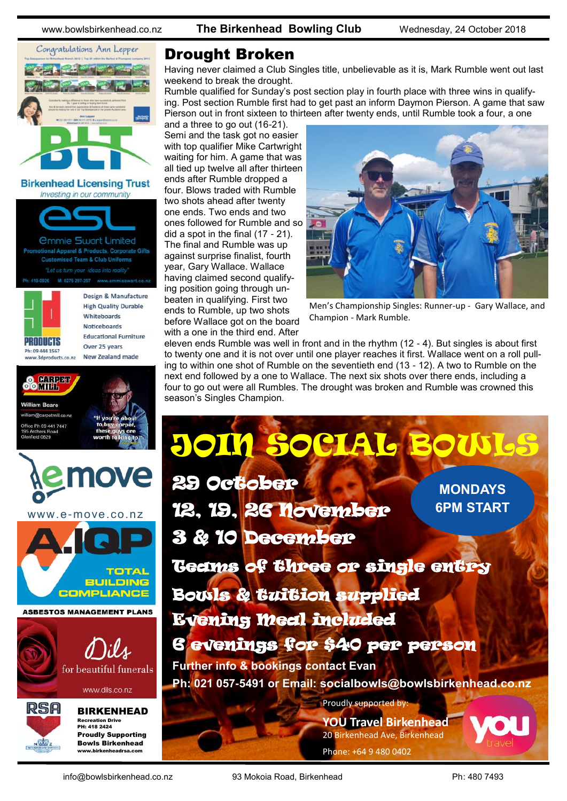

**Birkenhead Licensing Trust** Investing in our community



Ph: 419-0926 M: 0275 297-297 www.emmieswart.co.n



**High Quality Durable** Whiteboards **Noticeboards Educational Furniture** Over 25 years New Zealand made

Design & Manufacture

**88 Hill Bar William Roard** american diagnosis e Ph 09 441 7447 field 0820 move www.e-move.co.nz





www.dils.co.nz



BIRKENHEAD Recreation Drive PH: 418 2424 Proudly Supporting

Bowls Birkenhead www.birkenheadrsa.com

#### Drought Broken

Having never claimed a Club Singles title, unbelievable as it is, Mark Rumble went out last weekend to break the drought.

Rumble qualified for Sunday's post section play in fourth place with three wins in qualifying. Post section Rumble first had to get past an inform Daymon Pierson. A game that saw Pierson out in front sixteen to thirteen after twenty ends, until Rumble took a four, a one

and a three to go out (16-21). Semi and the task got no easier with top qualifier Mike Cartwright waiting for him. A game that was all tied up twelve all after thirteen ends after Rumble dropped a four. Blows traded with Rumble two shots ahead after twenty one ends. Two ends and two ones followed for Rumble and so did a spot in the final (17 - 21). The final and Rumble was up against surprise finalist, fourth year, Gary Wallace. Wallace having claimed second qualifying position going through unbeaten in qualifying. First two ends to Rumble, up two shots before Wallace got on the board with a one in the third end. After



Men's Championship Singles: Runner-up - Gary Wallace, and Champion - Mark Rumble.

eleven ends Rumble was well in front and in the rhythm (12 - 4). But singles is about first to twenty one and it is not over until one player reaches it first. Wallace went on a roll pulling to within one shot of Rumble on the seventieth end (13 - 12). A two to Rumble on the next end followed by a one to Wallace. The next six shots over there ends, including a four to go out were all Rumbles. The drought was broken and Rumble was crowned this season's Singles Champion.

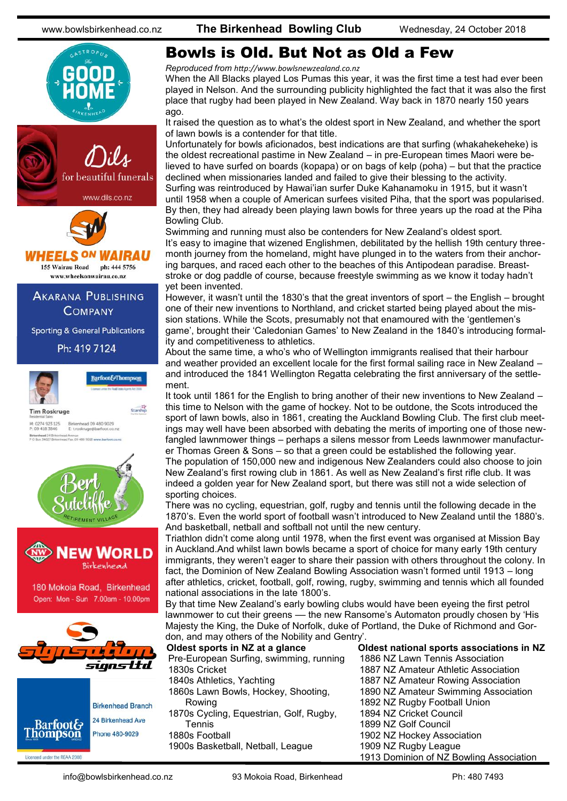

www.dils.co.nz



**HEELS <sup>ON</sup> WAIRAU** 155 Wairau Road ph: 444 5756

www.wheelsonwairau.co.nz

#### **AKARANA PUBLISHING COMPANY**

**Sporting & General Publications** 

Ph: 419 7124



M: 0274 923 125<br>P: 09 418 3846 Birkenhead 09 480 9029<br>E: t.roskruge@barfoot.co.nz **head** 24 Britent Avenue<br>Fax. 09 480 9019 www.barfoot.co.rd





180 Mokoia Road, Birkenhead Open: Mon - Sun 7.00am - 10.00pm



Licensed under the REAA 2008

**Birkenhead Branch** 24 Birkenhead Ave **Barfoot& Thompson** Phone 480-9029

### Bowls is Old. But Not as Old a Few

*Reproduced from [http://www.bowlsnewzealand.co.nz](http://www.bowls3five.co.nz)*

When the All Blacks played Los Pumas this year, it was the first time a test had ever been played in Nelson. And the surrounding publicity highlighted the fact that it was also the first place that rugby had been played in New Zealand. Way back in 1870 nearly 150 years ago.

It raised the question as to what's the oldest sport in New Zealand, and whether the sport of lawn bowls is a contender for that title.

Unfortunately for bowls aficionados, best indications are that surfing (whakahekeheke) is the oldest recreational pastime in New Zealand – in pre-European times Maori were believed to have surfed on boards (kopapa) or on bags of kelp (poha) – but that the practice declined when missionaries landed and failed to give their blessing to the activity. Surfing was reintroduced by Hawai'ian surfer Duke Kahanamoku in 1915, but it wasn't until 1958 when a couple of American surfees visited Piha, that the sport was popularised. By then, they had already been playing lawn bowls for three years up the road at the Piha Bowling Club.

Swimming and running must also be contenders for New Zealand's oldest sport. It's easy to imagine that wizened Englishmen, debilitated by the hellish 19th century threemonth journey from the homeland, might have plunged in to the waters from their anchoring barques, and raced each other to the beaches of this Antipodean paradise. Breaststroke or dog paddle of course, because freestyle swimming as we know it today hadn't yet been invented.

However, it wasn't until the 1830's that the great inventors of sport – the English – brought one of their new inventions to Northland, and cricket started being played about the mission stations. While the Scots, presumably not that enamoured with the 'gentlemen's game', brought their 'Caledonian Games' to New Zealand in the 1840's introducing formality and competitiveness to athletics.

About the same time, a who's who of Wellington immigrants realised that their harbour and weather provided an excellent locale for the first formal sailing race in New Zealand – and introduced the 1841 Wellington Regatta celebrating the first anniversary of the settlement.

It took until 1861 for the English to bring another of their new inventions to New Zealand – this time to Nelson with the game of hockey. Not to be outdone, the Scots introduced the sport of lawn bowls, also in 1861, creating the Auckland Bowling Club. The first club meetings may well have been absorbed with debating the merits of importing one of those newfangled lawnmower things – perhaps a silens messor from Leeds lawnmower manufacturer Thomas Green & Sons – so that a green could be established the following year. The population of 150,000 new and indigenous New Zealanders could also choose to join New Zealand's first rowing club in 1861. As well as New Zealand's first rifle club. It was indeed a golden year for New Zealand sport, but there was still not a wide selection of sporting choices.

There was no cycling, equestrian, golf, rugby and tennis until the following decade in the 1870's. Even the world sport of football wasn't introduced to New Zealand until the 1880's. And basketball, netball and softball not until the new century.

Triathlon didn't come along until 1978, when the first event was organised at Mission Bay in Auckland.And whilst lawn bowls became a sport of choice for many early 19th century immigrants, they weren't eager to share their passion with others throughout the colony. In fact, the Dominion of New Zealand Bowling Association wasn't formed until 1913 – long after athletics, cricket, football, golf, rowing, rugby, swimming and tennis which all founded national associations in the late 1800's.

By that time New Zealand's early bowling clubs would have been eyeing the first petrol lawnmower to cut their greens –– the new Ransome's Automaton proudly chosen by 'His Majesty the King, the Duke of Norfolk, duke of Portland, the Duke of Richmond and Gordon, and may others of the Nobility and Gentry'.

| Oldest sports in NZ at a glance         | Oldest national sports associations in NZ |
|-----------------------------------------|-------------------------------------------|
| Pre-European Surfing, swimming, running | 1886 NZ Lawn Tennis Association           |
| 1830s Cricket                           | 1887 NZ Amateur Athletic Association      |
| 1840s Athletics, Yachting               | 1887 NZ Amateur Rowing Association        |
| 1860s Lawn Bowls, Hockey, Shooting,     | 1890 NZ Amateur Swimming Association      |
| Rowing                                  | 1892 NZ Rugby Football Union              |
| 1870s Cycling, Equestrian, Golf, Rugby, | 1894 NZ Cricket Council                   |
| <b>Tennis</b>                           | 1899 NZ Golf Council                      |
| 1880s Football                          | 1902 NZ Hockey Association                |
| 1900s Basketball, Netball, League       | 1909 NZ Rugby League                      |
|                                         | 1913 Dominion of NZ Bowling Association   |